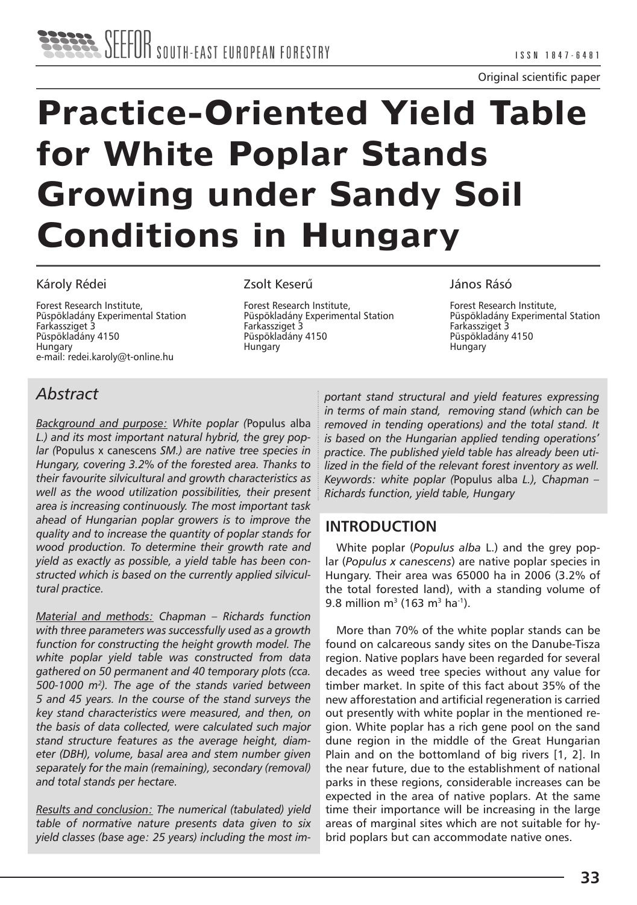# **Practice-Oriented Yield Table for White Poplar Stands Growing under Sandy Soil Conditions in Hungary**

#### Károly Rédei

Forest Research Institute, Püspökladány Experimental Station Farkassziget 3 Püspökladány 4150 Hungary e-mail: redei.karoly@t-online.hu

#### Zsolt Keserű

Forest Research Institute, Püspökladány Experimental Station Farkassziget 3 Püspökladány 4150 **Hungary** 

#### János Rásó

Forest Research Institute, Püspökladány Experimental Station Farkassziget 3 Püspökladány 4150 **Hungary** 

## *Abstract*

*Background and purpose: White poplar (*Populus alba *L.) and its most important natural hybrid, the grey poplar (*Populus x canescens *SM.) are native tree species in Hungary, covering 3.2% of the forested area. Thanks to their favourite silvicultural and growth characteristics as well as the wood utilization possibilities, their present area is increasing continuously. The most important task ahead of Hungarian poplar growers is to improve the quality and to increase the quantity of poplar stands for wood production. To determine their growth rate and yield as exactly as possible, a yield table has been constructed which is based on the currently applied silvicultural practice.*

*Material and methods: Chapman – Richards function with three parameters was successfully used as a growth function for constructing the height growth model. The white poplar yield table was constructed from data gathered on 50 permanent and 40 temporary plots (cca. 500-1000 m2). The age of the stands varied between 5 and 45 years. In the course of the stand surveys the key stand characteristics were measured, and then, on the basis of data collected, were calculated such major stand structure features as the average height, diameter (DBH), volume, basal area and stem number given separately for the main (remaining), secondary (removal) and total stands per hectare.*

*Results and conclusion: The numerical (tabulated) yield table of normative nature presents data given to six yield classes (base age: 25 years) including the most im-* *portant stand structural and yield features expressing in terms of main stand, removing stand (which can be removed in tending operations) and the total stand. It is based on the Hungarian applied tending operations' practice. The published yield table has already been utilized in the field of the relevant forest inventory as well. Keywords: white poplar (*Populus alba *L.), Chapman – Richards function, yield table, Hungary*

## **INTRODUCTION**

White poplar (*Populus alba* L.) and the grey poplar (*Populus x canescens*) are native poplar species in Hungary. Their area was 65000 ha in 2006 (3.2% of the total forested land), with a standing volume of 9.8 million m<sup>3</sup> (163 m<sup>3</sup> ha<sup>-1</sup>).

More than 70% of the white poplar stands can be found on calcareous sandy sites on the Danube-Tisza region. Native poplars have been regarded for several decades as weed tree species without any value for timber market. In spite of this fact about 35% of the new afforestation and artificial regeneration is carried out presently with white poplar in the mentioned region. White poplar has a rich gene pool on the sand dune region in the middle of the Great Hungarian Plain and on the bottomland of big rivers [1, 2]. In the near future, due to the establishment of national parks in these regions, considerable increases can be expected in the area of native poplars. At the same time their importance will be increasing in the large areas of marginal sites which are not suitable for hybrid poplars but can accommodate native ones.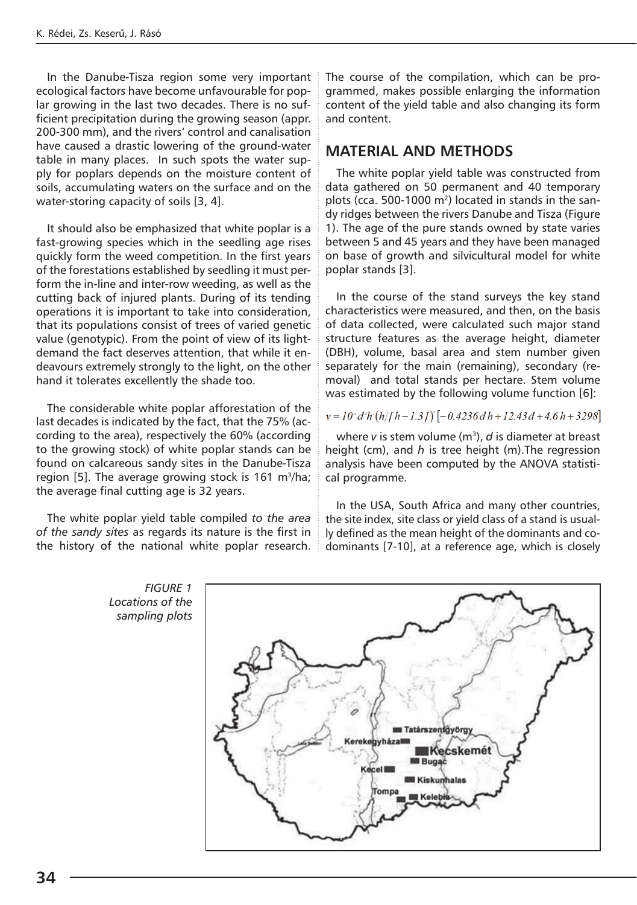In the Danube-Tisza region some very important ecological factors have become unfavourable for poplar growing in the last two decades. There is no sufficient precipitation during the growing season (appr. 200-300 mm), and the rivers' control and canalisation have caused a drastic lowering of the ground-water table in many places. In such spots the water supply for poplars depends on the moisture content of soils, accumulating waters on the surface and on the water-storing capacity of soils [3, 4].

It should also be emphasized that white poplar is a fast-growing species which in the seedling age rises quickly form the weed competition. In the first years of the forestations established by seedling it must perform the in-line and inter-row weeding, as well as the cutting back of injured plants. During of its tending operations it is important to take into consideration, that its populations consist of trees of varied genetic value (genotypic). From the point of view of its lightdemand the fact deserves attention, that while it endeavours extremely strongly to the light, on the other hand it tolerates excellently the shade too.

The considerable white poplar afforestation of the last decades is indicated by the fact, that the 75% (according to the area), respectively the 60% (according to the growing stock) of white poplar stands can be found on calcareous sandy sites in the Danube-Tisza region [5]. The average growing stock is 161 m<sup>3</sup>/ha; the average final cutting age is 32 years.

The white poplar yield table compiled *to the area of the sandy sites* as regards its nature is the first in the history of the national white poplar research. The course of the compilation, which can be programmed, makes possible enlarging the information content of the yield table and also changing its form and content.

### **MATERIAL AND METHODS**

The white poplar yield table was constructed from data gathered on 50 permanent and 40 temporary plots (cca. 500-1000 m<sup>2</sup>) located in stands in the sandy ridges between the rivers Danube and Tisza (Figure 1). The age of the pure stands owned by state varies between 5 and 45 years and they have been managed on base of growth and silvicultural model for white poplar stands [3].

In the course of the stand surveys the key stand characteristics were measured, and then, on the basis of data collected, were calculated such major stand structure features as the average height, diameter (DBH), volume, basal area and stem number given separately for the main (remaining), secondary (removal) and total stands per hectare. Stem volume was estimated by the following volume function [6]:

#### $v = 10^{4}$  d'h'(h/[h - 1.3])<sup>'</sup> [-0.4236 d h + 12.43 d + 4.6 h + 3298]

where *v* is stem volume (m<sup>3</sup>), *d* is diameter at breast height (cm), and *h* is tree height (m).The regression analysis have been computed by the ANOVA statistical programme.

In the USA, South Africa and many other countries, the site index, site class or yield class of a stand is usually defined as the mean height of the dominants and codominants [7-10], at a reference age, which is closely

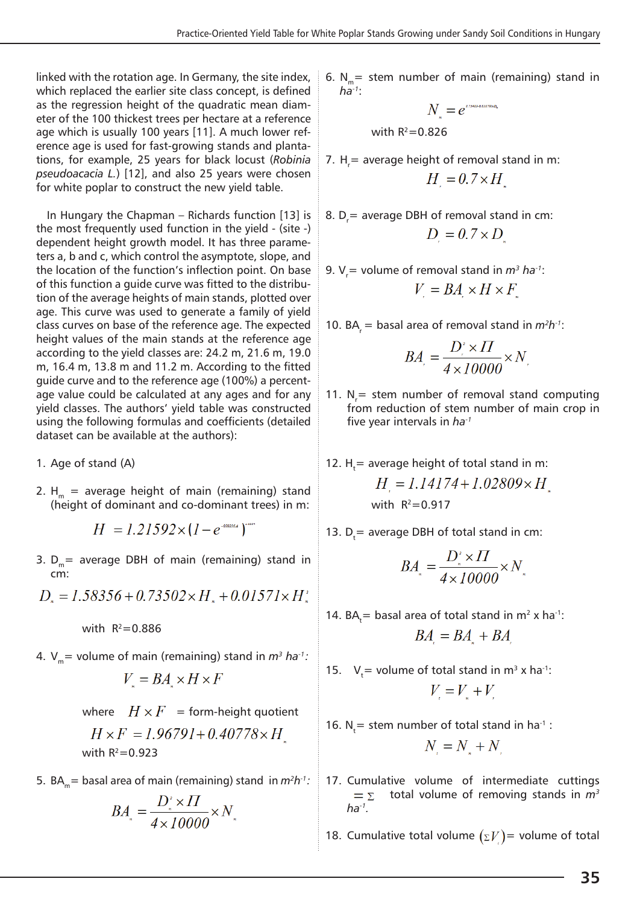linked with the rotation age. In Germany, the site index, which replaced the earlier site class concept, is defined as the regression height of the quadratic mean diameter of the 100 thickest trees per hectare at a reference age which is usually 100 years [11]. A much lower reference age is used for fast-growing stands and plantations, for example, 25 years for black locust (*Robinia pseudoacacia L.*) [12], and also 25 years were chosen for white poplar to construct the new yield table.

In Hungary the Chapman – Richards function [13] is the most frequently used function in the yield - (site -) dependent height growth model. It has three parameters a, b and c, which control the asymptote, slope, and the location of the function's inflection point. On base of this function a guide curve was fitted to the distribution of the average heights of main stands, plotted over age. This curve was used to generate a family of yield class curves on base of the reference age. The expected height values of the main stands at the reference age according to the yield classes are: 24.2 m, 21.6 m, 19.0 m, 16.4 m, 13.8 m and 11.2 m. According to the fitted guide curve and to the reference age (100%) a percentage value could be calculated at any ages and for any yield classes. The authors' yield table was constructed using the following formulas and coefficients (detailed dataset can be available at the authors):

- 1. Age of stand (A)
- 2.  $H_m$  = average height of main (remaining) stand (height of dominant and co-dominant trees) in m:

$$
H = 1.21592 \times (1 - e^{-0.000164})^2
$$

3.  $D_m$  = average DBH of main (remaining) stand in cm:

 $D_{s} = 1.58356 + 0.73502 \times H_{s} + 0.01571 \times H_{s}^{3}$ 

with  $R^2 = 0.886$ 

4.  $V_m$ = volume of main (remaining) stand in  $m^3$  ha<sup>-1</sup>:

$$
V_{\rm s} = BA_{\rm s} \times H \times F
$$

where  $H \times F$  = form-height quotient  $H \times F = 1.96791 + 0.40778 \times H$ with  $R^2=0.923$ 

5. BA<sub>m</sub>= basal area of main (remaining) stand in  $m^2h^1$ :

$$
BA_{\ast} = \frac{D_{\ast}^{\prime} \times \Pi}{4 \times 10000} \times N_{\ast}
$$

6. N<sub>m</sub> = stem number of main (remaining) stand in 
$$
ha^{-1}
$$
:

$$
N_{\rm m} = e^{i\pi a_{\rm P4484, BH784}}
$$
\nwith R<sup>2</sup>=0.826

- 7.  $H_r$  = average height of removal stand in m:  $H = 0.7 \times H$
- 8.  $D_r$  = average DBH of removal stand in cm:  $D = 0.7 \times D$
- 9. V<sub>,</sub>= volume of removal stand in *m<sup>3</sup> ha<sup>-1</sup>*:  $V = BA \times H \times F$
- 10. BA<sub>r</sub> = basal area of removal stand in  $m^2h^{-1}$ :

$$
BA_{.} = \frac{D_{.}^{'} \times \Pi}{4 \times 10000} \times N_{.}
$$

11.  $N_r$  = stem number of removal stand computing from reduction of stem number of main crop in five year intervals in *ha-1*

12. H<sub>t</sub>= average height of total stand in m:  

$$
H = 1.14174 + 1.02809 \times H
$$

with 
$$
R^2 = 0.917
$$

13.  $D_t$  = average DBH of total stand in cm:

$$
BA_{\ast} = \frac{D_{\ast}^{\prime} \times \Pi}{4 \times 10000} \times N_{\ast}
$$

14.  $BA_t =$  basal area of total stand in  $m^2$  x ha<sup>-1</sup>:

$$
BA = BA + BA
$$

- 15.  $V_t =$  volume of total stand in m<sup>3</sup> x ha<sup>-1</sup>:  $V = V + V$
- 16.  $N_t$  = stem number of total stand in ha<sup>-1</sup> :  $N_i = N_i + N_i$
- 17. Cumulative volume of intermediate cuttings total volume of removing stands in *m3*  $= \Sigma$ *ha-1.*
- 18. Cumulative total volume  $(\Sigma V)$  volume of total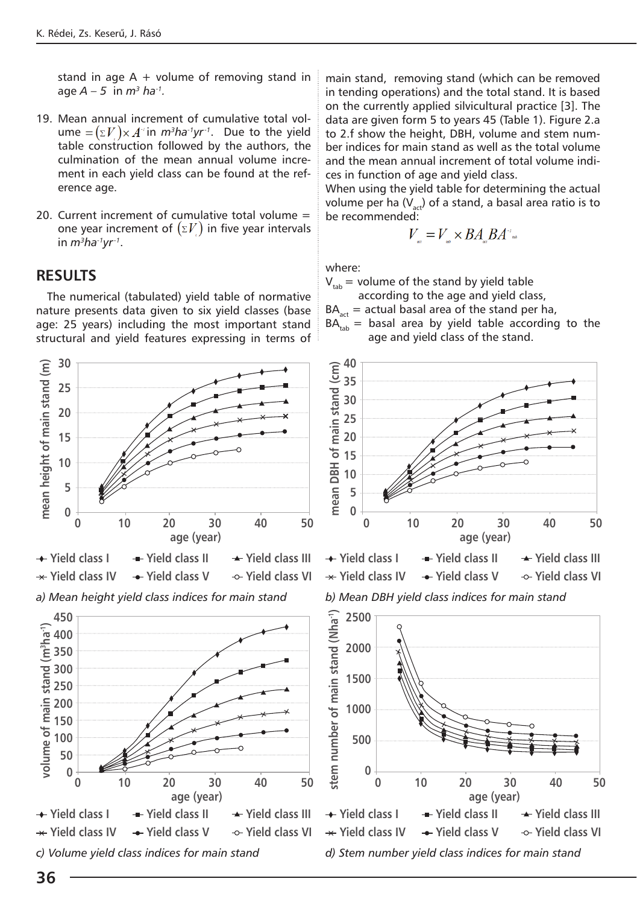stand in age  $A +$  volume of removing stand in age  $A - 5$  in  $m^3$  ha<sup>-1</sup>.

- 19. Mean annual increment of cumulative total volume  $=(\Sigma V) \times A^4$  in  $m^3$ ha<sup>-1</sup>yr<sup>-1</sup>. Due to the yield table construction followed by the authors, the culmination of the mean annual volume increment in each yield class can be found at the reference age.
- 20. Current increment of cumulative total volume = one year increment of  $(\Sigma V)$  in five year intervals in *m3ha-1yr-1*.

#### **RESULTS**

The numerical (tabulated) yield table of normative nature presents data given to six yield classes (base age: 25 years) including the most important stand structural and yield features expressing in terms of



main stand, removing stand (which can be removed in tending operations) and the total stand. It is based on the currently applied silvicultural practice [3]. The data are given form 5 to years 45 (Table 1). Figure 2.a to 2.f show the height, DBH, volume and stem number indices for main stand as well as the total volume and the mean annual increment of total volume indices in function of age and yield class.

When using the yield table for determining the actual volume per ha  $(V_{act})$  of a stand, a basal area ratio is to be recommended:

$$
V_{\rm max}=V_{\rm max}\times B A_{\rm max} B A^{\rm max}
$$

where:

 $V_{\text{tab}}$  = volume of the stand by yield table

according to the age and yield class,

 $BA_{\text{act}}$  = actual basal area of the stand per ha,

 $BA<sub>tab</sub>$  = basal area by yield table according to the age and yield class of the stand.





*b) Mean DBH yield class indices for main stand*

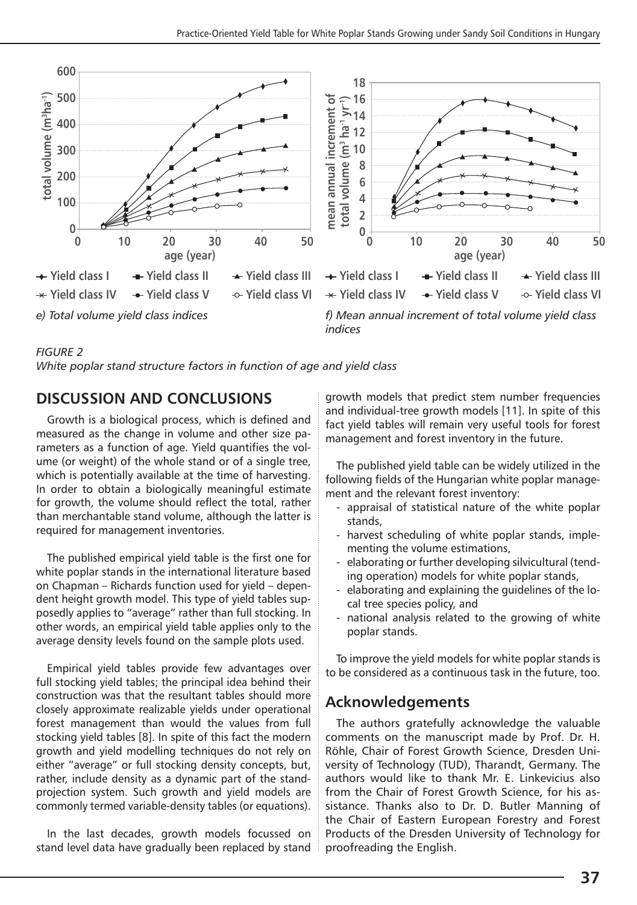



*indices*

#### *FIGURE 2*

*White poplar stand structure factors in function of age and yield class*

## **DISCUSSION AND CONCLUSIONS**

Growth is a biological process, which is defined and measured as the change in volume and other size parameters as a function of age. Yield quantifies the volume (or weight) of the whole stand or of a single tree, which is potentially available at the time of harvesting. In order to obtain a biologically meaningful estimate for growth, the volume should reflect the total, rather than merchantable stand volume, although the latter is required for management inventories.

The published empirical yield table is the first one for white poplar stands in the international literature based on Chapman – Richards function used for yield – dependent height growth model. This type of yield tables supposedly applies to "average" rather than full stocking. In other words, an empirical yield table applies only to the average density levels found on the sample plots used.

Empirical yield tables provide few advantages over full stocking yield tables; the principal idea behind their construction was that the resultant tables should more closely approximate realizable yields under operational forest management than would the values from full stocking yield tables [8]. In spite of this fact the modern growth and yield modelling techniques do not rely on either "average" or full stocking density concepts, but, rather, include density as a dynamic part of the standprojection system. Such growth and yield models are commonly termed variable-density tables (or equations).

In the last decades, growth models focussed on stand level data have gradually been replaced by stand growth models that predict stem number frequencies and individual-tree growth models [11]. In spite of this fact yield tables will remain very useful tools for forest management and forest inventory in the future.

The published yield table can be widely utilized in the following fields of the Hungarian white poplar management and the relevant forest inventory:

- appraisal of statistical nature of the white poplar stands,
- harvest scheduling of white poplar stands, implementing the volume estimations,
- elaborating or further developing silvicultural (tending operation) models for white poplar stands,
- elaborating and explaining the guidelines of the local tree species policy, and
- national analysis related to the growing of white poplar stands.

To improve the yield models for white poplar stands is to be considered as a continuous task in the future, too.

## **Acknowledgements**

The authors gratefully acknowledge the valuable comments on the manuscript made by Prof. Dr. H. Röhle, Chair of Forest Growth Science, Dresden University of Technology (TUD), Tharandt, Germany. The authors would like to thank Mr. E. Linkevicius also from the Chair of Forest Growth Science, for his assistance. Thanks also to Dr. D. Butler Manning of the Chair of Eastern European Forestry and Forest Products of the Dresden University of Technology for proofreading the English.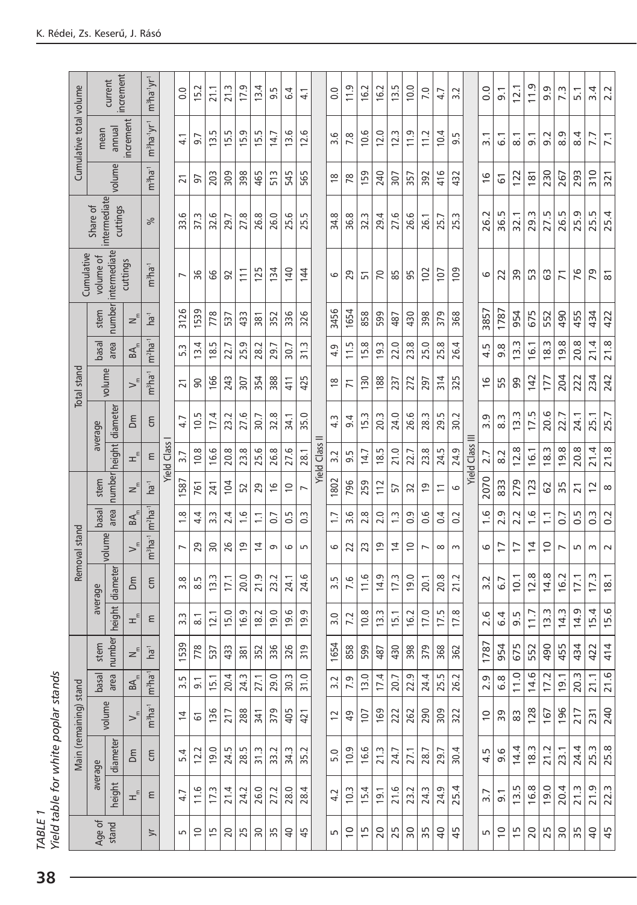|                                                     | increment<br>current                 |                           |                                        | m <sup>3</sup> ha <sup>-1</sup> yr <sup>-1</sup> |                    | $\overline{0}$   | 15.2                       | 21.1                 | 21.3     | ഗ<br>17                  | 4<br><u>m</u>  | ŗ.<br>െ             | 4<br>َی             | 4.1                    |                    | $\overline{0}$ . | 11.9                 | 16.2                 | 16.2                 | Lņ<br>$\overline{1}$ | 10.0                   | 7.0                | $\sum_{i=1}^{n}$<br>4    | Ņ<br>$\sim$ |                    | $\frac{0}{0}$             | $\overline{9}$ . | 12.1                         | $\frac{0}{11}$         | Ō<br>ெ                  | 7.3                           | 5.1                             | $\overline{3.4}$     | 2.2                 |      |      |      |      |      |  |     |         |     |      |                    |                     |                     |                     |
|-----------------------------------------------------|--------------------------------------|---------------------------|----------------------------------------|--------------------------------------------------|--------------------|------------------|----------------------------|----------------------|----------|--------------------------|----------------|---------------------|---------------------|------------------------|--------------------|------------------|----------------------|----------------------|----------------------|----------------------|------------------------|--------------------|--------------------------|-------------|--------------------|---------------------------|------------------|------------------------------|------------------------|-------------------------|-------------------------------|---------------------------------|----------------------|---------------------|------|------|------|------|------|--|-----|---------|-----|------|--------------------|---------------------|---------------------|---------------------|
| Cumulative total volume                             | increment<br>annual<br>mean          |                           |                                        | $m^3$ ha' $yr^1$                                 |                    | $\overline{41}$  | 9.7                        | 5<br>13.             | 5<br>15. | G<br>15.                 | w<br>Т5.       | r<br>$\overline{4}$ | ِ<br>$\overline{2}$ | ဖ<br><u>15</u>         |                    | 3.6              | 7.8                  | 10.6                 | 12.0                 | S<br>12.             | ب<br>$\overline{1}$    | 11.2               | 4<br>Ξ,                  | 5<br>െ      |                    | $\overline{3}.1$          | $\overline{6}$ . | $\overline{8}$ .             | $\overline{9}$ .       | N<br>ெ                  | σ<br>∞                        | 4<br>∞                          | 7.7                  | $\overline{71}$     |      |      |      |      |      |  |     |         |     |      |                    |                     |                     |                     |
|                                                     | volume                               |                           |                                        | $m3ha-1$                                         |                    | $\overline{2}1$  | 57                         | 203                  | 309      | 398                      | 465            | 513                 | 545                 | 565                    |                    | $\frac{8}{1}$    | $\overline{78}$      | 159                  | 240                  | 307                  | 357                    | 392                | 416                      | 432         |                    | 16                        | 61               | 122                          | 181                    | 230                     | 267                           | 293                             | 310                  | 321                 |      |      |      |      |      |  |     |         |     |      |                    |                     |                     |                     |
|                                                     | intermediate<br>cuttings<br>Share of |                           |                                        | వ్                                               |                    | ِ<br>33.         | w<br>57.                   | ِم<br>32.            | 29.      | 27.8                     | 26.8           | 26.0                | 25.6                | Lņ<br>25.              |                    | 34.8             | 36.8                 | Ċ.<br>32.            | 29.4                 | 27.6                 | 26.6                   | 26.1               | 25.7                     | Ŵ<br>25.    |                    | 26.2                      | m<br>36.         | 32.1                         | 29.3                   | 27.5                    | Б<br>26.                      | Ō<br>25.                        | S<br>25.             | 25.4                |      |      |      |      |      |  |     |         |     |      |                    |                     |                     |                     |
| intermediate<br>Cumulative<br>volume of<br>cuttings |                                      |                           | m <sup>3</sup> ha <sup>-1</sup>        |                                                  | $\overline{ }$     | 96               | 99                         | 92                   | 111      | 125                      | 134            | 140                 | 144                 |                        | 6                  | 29               | 꼬                    | $\overline{2}$       | 85                   | 95                   | 102                    | 107                | 109                      |             | 6                  | 22                        | 39               | SS                           | යි                     | $\overline{7}$          | 76                            | 29                              | $\overline{8}$       |                     |      |      |      |      |      |  |     |         |     |      |                    |                     |                     |                     |
|                                                     | number<br>stem                       |                           | $z^{\epsilon}$                         | ha <sup>-1</sup>                                 |                    | 3126             | 1539<br>4<br><u>ja</u>     | 778                  | 537      | 433                      | 381            | 352                 | 336                 | 326                    |                    | 3456             | 1654                 | 858                  | 599                  | 487                  | 430<br>œ<br>23.<br>272 | 398<br>25.0<br>297 | 379<br>25.8<br>314       | 368         |                    | 3857                      | 1787             | 954                          | 675                    | 552                     | 490                           | 455                             | 434                  | 422                 |      |      |      |      |      |  |     |         |     |      |                    |                     |                     |                     |
| <b>Total</b> stand                                  | basal                                | area<br>$BA$ <sub>m</sub> |                                        | $m2ha-1$                                         |                    | w<br>ഫ           |                            | Lņ<br>$\frac{8}{10}$ | 22.7     | 25.9                     | 28.2           | 29.7                | 30.7                | 31.3                   |                    | 4.9              | ŗ.<br>$\overline{1}$ | $\infty$<br>خ.       | w<br><u>io</u>       | 22.0                 |                        |                    |                          | 26.4        |                    | LN.<br>4<br>$\frac{6}{5}$ | 9.8<br>S<br>Б    | m<br>$\frac{1}{2}$<br>99     | 16.1                   | m<br>$\frac{\infty}{2}$ | $\infty$<br>$\frac{1}{9}$     | $\infty$<br>20.                 | 21.4                 | 21.8                |      |      |      |      |      |  |     |         |     |      |                    |                     |                     |                     |
|                                                     | volume                               |                           | $>^{\epsilon}$                         | m <sup>3</sup> ha <sup>-1</sup>                  |                    | $\overline{2}1$  | 90                         | 166                  | 243      | 307                      | 354            | 388                 | 411                 | 425                    |                    | $\frac{8}{1}$    | $\overline{7}$       | 130                  | 188                  | 237                  |                        |                    |                          | 325         |                    |                           |                  |                              | 142                    | 177                     | 204                           | 222                             | 234                  | 242                 |      |      |      |      |      |  |     |         |     |      |                    |                     |                     |                     |
|                                                     | average                              |                           | δm                                     | ξ                                                | <b>Yield Class</b> | 4.7              | Lŋ<br>$\overline{0}$       | 4<br>17.             | 23.2     | 27.6                     | 30.7           | 32.8                | 34.1                | 35.0                   |                    | $4.\overline{3}$ | 4<br>ெ               | w.<br>$\overline{5}$ | 20.3                 | 24.0                 | 26.6                   | 28.3               | 29.5                     | 30.2        |                    | ق<br>m                    | $8.\overline{3}$ | 13.3                         | r.<br>17.              | 20.6                    | $\overline{ }$<br>22.         | $\overline{\phantom{0}}$<br>24. | 25.                  | 25.7                |      |      |      |      |      |  |     |         |     |      |                    |                     |                     |                     |
|                                                     |                                      | height diameter           | $\mathtt{E}^\varepsilon$               | ε                                                |                    | $\overline{3.7}$ | $\infty$<br>$\overline{0}$ | 16.6                 | 20.8     | 23.8                     | 25.6           | 26.8                | 27.6                | 28.1                   | <b>Yield Class</b> | 3.2              | 9.5                  | r<br>$\overline{4}$  | Lņ<br>$\frac{8}{1}$  | 21.0                 | L<br>22.               | 23.8               | rú<br>24.                | 24.9        | <b>Yield Class</b> | 2.7                       | 8.2              | 12.8                         | 16.1                   | m<br>$\frac{8}{3}$      | $\infty$<br>$\frac{9}{2}$     | œ<br>20.                        | 4<br>$\overline{21}$ | 21.8                |      |      |      |      |      |  |     |         |     |      |                    |                     |                     |                     |
|                                                     | stem                                 | number                    | $z^{\epsilon}$                         | ha <sup>-1</sup>                                 |                    | 1587             | 761                        | 241                  | 104      | 52                       | 29             | $\frac{6}{1}$       | $\overline{0}$      | $\overline{ }$         |                    | 1802             | 796                  | 259                  | 112                  | 57                   | 32                     | σ                  | $\overline{\phantom{0}}$ | 6           |                    | 2070                      | 833              | 279                          | 123                    | 62                      | 35                            | $\overline{21}$                 | $\overline{c}$       | $\infty$            |      |      |      |      |      |  |     |         |     |      |                    |                     |                     |                     |
|                                                     | basal                                | area                      | $BA$ <sub>m</sub>                      | $m^2$ ha <sup>-1</sup>                           |                    | œ                | 4<br>4                     | w<br>$\sim$          | 2.4      | 0.6                      | $\overline{1}$ | 0.7                 | 0.5                 | w<br>Ö                 |                    | $\overline{1}$ . | $\circ$<br>$\sim$    | œ<br>$\sim$          | 2.0<br>$\frac{3}{2}$ |                      | Ō,<br>ö                | 0.6                | 0.4                      | 0.2         |                    | ِ<br>$\overline{ }$       | Ō<br>$\sim$      | Ņ<br>$\overline{\mathsf{N}}$ | 1.6                    | $\overline{1}$          | $\overline{0}$                | LN.<br>Ö                        | w.<br>ö              | 0.2                 |      |      |      |      |      |  |     |         |     |      |                    |                     |                     |                     |
| Removal stand                                       | volume                               |                           | $\searrow^{\epsilon}$                  | $m3ha-1$                                         |                    | $\overline{ }$   | 29                         | 50                   | 26       | $\overline{0}$           | $\overline{4}$ | G                   | ဖ                   | S                      |                    | 6                | 22                   | 23                   | $\overline{9}$       | $\overline{4}$       | $\overline{C}$         | $\overline{ }$     | $\infty$                 | $\sim$      |                    | 6                         | $\overline{1}$   | $\overline{1}$               | $\frac{1}{4}$          | $\overline{0}$          | $\overline{ }$                | rU                              | $\sim$               | $\sim$              |      |      |      |      |      |  |     |         |     |      |                    |                     |                     |                     |
|                                                     |                                      | diameter                  | Σm                                     | ξ                                                |                    | $\infty$<br>ന്   | 5<br>$\infty$              | m<br>$\overline{13}$ | 17.1     | 20.0                     | 21.9           | 23.2                | 24.1                | ِ<br>24.               |                    | Lņ.<br>m         | 9<br>$\overline{ }$  | 11.6                 | ၜ<br>$\overline{4}$  | ņ<br>17.             | O<br>$\overline{9}$    | 20.1               | 20.8                     | 21.2        |                    | 3.2                       | 6.7              | 10.1                         | œ<br>$\overline{12}$ . | 4.8                     | $\sim$<br>0<br>$\overline{ }$ | 17.1                            | Ċ.<br>$\overline{1}$ | 18.1                |      |      |      |      |      |  |     |         |     |      |                    |                     |                     |                     |
|                                                     | average                              | height                    | $\pm$ <sup><math>\epsilon</math></sup> | ε                                                |                    |                  |                            |                      |          |                          |                |                     |                     |                        |                    |                  | w<br>m               |                      |                      |                      |                        | $\overline{\circ}$ | 12.1                     | 15.0        | 16.9               | 18.2                      | 19.0             | 19.6                         | Ō<br>$\overline{9}$ .  |                         | 3.0                           | 7.2                             | œ<br>Ξ.              | w<br>$\overline{5}$ | 15.1 | 16.2 | 17.0 | 17.5 | 17.8 |  | 2.6 | 4<br>َی | 9.5 | 11.7 | m<br>$\frac{1}{2}$ | m<br>$\overline{4}$ | σ<br>$\overline{4}$ | 4<br>$\overline{5}$ |
|                                                     | stem                                 | number                    | $z^{\epsilon}$                         | ha                                               |                    | 153              | 778                        | 537                  | 433      | 381                      | 352            | 336                 | 326                 | 319                    |                    | 165 <sup>,</sup> | 858                  | 599                  | 487                  | 430                  | 398                    | 379                | 368                      | 362         |                    | 178                       | 954              | 675                          | 552                    | 06p                     | 455                           | 434                             | 422                  | 414                 |      |      |      |      |      |  |     |         |     |      |                    |                     |                     |                     |
|                                                     | basal                                | area                      | $\mathbb{R}^{\mathbb{R}}$              | $ m^2$ ha <sup>-1</sup>                          |                    | 5<br>ന്          | $\overline{9}$             | 15.                  | 20.4     | 24.                      | 27.1           | 29.0                | 30.3                | Q<br>$\overline{31}$ . |                    | 3.2              | 7.9                  | 13.0                 | 17.4                 | 20.7                 | 22.9                   | 24.4               | rú<br>25.                | N<br>26.    |                    | <u>ტ</u><br>$\sim$        | $6.\overline{8}$ | 11.0                         | 14.6                   | 17.                     | $\overline{9}$                | m<br>20.                        | $\overline{2}1$      | 21.6                |      |      |      |      |      |  |     |         |     |      |                    |                     |                     |                     |
|                                                     |                                      | volume                    |                                        | $m^3$ ha <sup>-1</sup>                           |                    | $\overline{4}$   | ত                          | 136                  | 217      | 288                      | 341            | 379                 | 405                 | $\ddot{q}$             |                    | $\overline{c}$   | $\overline{a}$       | 107                  | 169                  | 222                  | 262                    | 290                | 309                      | 322         |                    | $\overline{0}$            | 39               | 83                           | 128                    | 167                     | 196                           | 217                             | $\overline{23}$      | 240                 |      |      |      |      |      |  |     |         |     |      |                    |                     |                     |                     |
| Main (remaining) stand                              |                                      | diameter                  | Σm                                     | ξ                                                |                    | 5.4              | 12.2                       | Q<br><u>଼ି</u>       | 24.5     | ruj<br>28.               | 31.3           | 33.2                | w<br>34.            | N<br>35.               |                    | 5.0              | 10.9                 | 16.6                 | 21.3                 | 24.7                 | 27.1                   | 28.7               | 29.7                     | 30.4        |                    | 4.5                       | 9.6              | 14.4                         | 18.3                   | 21.2                    | 23.1                          | 4<br>24.                        | w<br>25              | 25.8                |      |      |      |      |      |  |     |         |     |      |                    |                     |                     |                     |
|                                                     | average                              | height                    | エ                                      | ε                                                |                    | 4.7              | 11.6                       | 17.3                 | 21.4     | 24.2                     | 26.0           | 27.2                | 28.0                | 4<br>28.               |                    | 4.2              | 10.3                 | 15.                  | $\frac{1}{9}$        | 21.6                 | 23.2                   | 24.3               | 24.9                     | 4<br>25.    |                    | $\overline{3.7}$          | $\overline{9}$ . | w<br>$\overline{5}$          | 16.8                   | 19.0                    | 20.4                          | w.<br>$\overline{21}$           | ق<br>$\overline{21}$ | w.<br>22.           |      |      |      |      |      |  |     |         |     |      |                    |                     |                     |                     |
| Age of<br>stand                                     |                                      |                           | $\overline{y}$                         |                                                  | S                  | $\overline{0}$   | m                          | 20                   | 25       | $\overline{\phantom{0}}$ | 35             | $\overline{4}$      | 45                  |                        | 5                  | $\overline{0}$   | m                    | 20                   | 25                   | $\overline{5}$       | 35                     | $\overline{a}$     | 45                       |             | Б                  | $\tilde{c}$               | $\frac{5}{2}$    | 20                           | 25                     | $\overline{50}$         | 35                            | $\overline{a}$                  | 45                   |                     |      |      |      |      |      |  |     |         |     |      |                    |                     |                     |                     |

*TABLE 1* 

TABLE 1<br>Yield table for white poplar stands *Yield table for white poplar stands*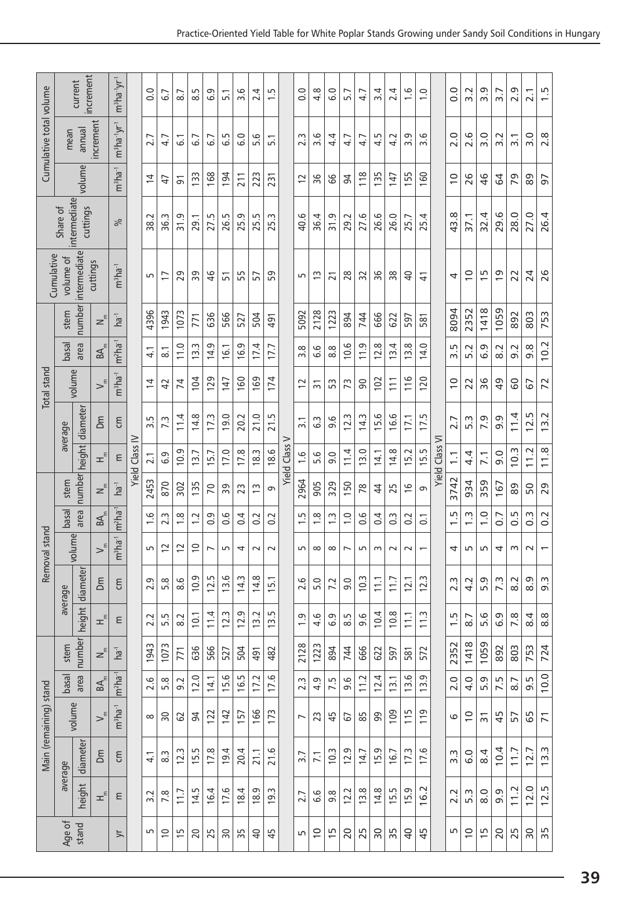|                                                     | increment<br>current<br>increment<br>annual<br>mean |                 |                                         | $m^3$ ha' $\,$ yrʻ $\,$         |                       | $\circ$<br>ö               | .<br>ف           | 8.7            | 5<br>∞        | 9<br>َت              | $\overline{5}$ . | 9<br>ന്         | 4<br>N           | S<br>÷      |                         | O<br>ö           | $\infty$<br>4.   | $\circ$<br>َت                    | 5.7               | 4.7      | 4<br>ന്         | 4<br>$\mathbf{\sim}$ | 1.6                   | $\overline{1}$ .0        |                         | $\overline{0}$       | N<br>ന്           | σ<br>ന്        | ∼<br>$\frac{1}{2}$ | 2.9                 | 2.1                      | τυ.<br>$\overline{ }$   |         |        |     |      |      |     |      |  |                     |     |     |         |     |     |
|-----------------------------------------------------|-----------------------------------------------------|-----------------|-----------------------------------------|---------------------------------|-----------------------|----------------------------|------------------|----------------|---------------|----------------------|------------------|-----------------|------------------|-------------|-------------------------|------------------|------------------|----------------------------------|-------------------|----------|-----------------|----------------------|-----------------------|--------------------------|-------------------------|----------------------|-------------------|----------------|--------------------|---------------------|--------------------------|-------------------------|---------|--------|-----|------|------|-----|------|--|---------------------|-----|-----|---------|-----|-----|
| Cumulative total volume                             |                                                     |                 | $m^3$ ha <sup>-1</sup> yr <sup>-1</sup> |                                 | 2.7<br>$\overline{4}$ | 4.7                        | $\overline{6}$   | 6.7            | 6.7           | Lŋ<br>نی             | 6.0              | 5.6             | $\overline{51}$  |             | m<br>$\sim$             | 3.6              | 4.4              | 4.7                              | 4.7               | r.<br>4. | Z<br>4          | G<br>$\sim$          | 3.6                   |                          | 2.0                     | $\frac{6}{2}$        | 3.0               | Ņ<br>ന്        | $\overline{3}$ .   | 3.0                 | 2.8                      |                         |         |        |     |      |      |     |      |  |                     |     |     |         |     |     |
|                                                     | volume                                              |                 |                                         | $m3$ ha <sup>-1</sup>           |                       |                            | $\ddot{t}$       | 51             | 133           | 168                  | 194              | 211             | 223              | 231         |                         | $\overline{c}$   | 36               | 99                               | 54                | 118      | 135             | 147                  | 155                   | 160                      |                         | $\overline{0}$       | 26                | 46             | $\mathcal{Q}$      | 79                  | 89                       | 5                       |         |        |     |      |      |     |      |  |                     |     |     |         |     |     |
| intermediate<br>Share of<br>cuttings                |                                                     |                 | ಸಿ                                      |                                 | 38.2                  | 36.3                       | 31.9             | 29.1           | 27.5          | 26.5                 | 25.9             | Lņ<br>25.       | w.<br>25.        |             | 40.6                    | 36.4             | 31.9             | 29.2                             | 27.6              | 26.6     | 26.0            | 25.7                 | 25.4                  |                          | $\infty$<br>43.         | 37.1                 | 32.4              | 29.6           | 28.0               | 27.0                | 26.4                     |                         |         |        |     |      |      |     |      |  |                     |     |     |         |     |     |
| intermediate<br>Cumulative<br>volume of<br>cuttings |                                                     |                 | m <sup>3</sup> ha <sup>-1</sup>         |                                 | S                     |                            |                  |                | 17            | 29                   | 39               | $\frac{9}{5}$   | 51               | 55          | 57                      | 59               |                  | S                                | $\frac{3}{2}$     | 21       | 28              | 32                   | 96                    | 38                       | $\Theta$                | 41                   |                   | 4              | $\overline{0}$     | m                   | $\overline{0}$           | 22                      | 24      | 26     |     |      |      |     |      |  |                     |     |     |         |     |     |
| <b>Total</b> stand                                  | stem                                                | number          |                                         | ha <sup>-1</sup>                |                       | 4396                       | 1943             | 073            | 771           | 636                  | 566              | 527             | 504              | 491         |                         | 5092             | 2128             | 1223                             | 894               | 744      | 666             | 622                  | 597                   | 581                      |                         | 8094                 | 2352              | 1418           | 1059               | 892                 | 803                      | 753                     |         |        |     |      |      |     |      |  |                     |     |     |         |     |     |
|                                                     | basal                                               | area            | $BA$ <sub>m</sub>                       | $m^2ha^{-1}$                    |                       | 4.1                        | $\overline{8}$ . | 11.0           | 13.3          | Ō,<br>$\overline{4}$ | 16.1             | σ,<br><u>'6</u> | 4<br>17.         | 17.7        |                         | $\infty$<br>m    | ِ<br>ؘڡ          | $\infty$<br>∞                    | 10.6              | 11.9     | 12.8            | 4<br><u>is</u>       | $\infty$<br><u>ja</u> | 14.0                     |                         | m<br>m               | N<br>ഥ            | Θ<br>نی        | N<br>∞             | 9.2                 | 9.8                      | 10.2                    |         |        |     |      |      |     |      |  |                     |     |     |         |     |     |
|                                                     |                                                     | volume          | $>^{\epsilon}$                          | $m3ha-1$                        |                       | $\overline{4}$<br>3.5      | $\overline{4}$   | 74             | 104           | 129                  | 147              | 160             | 169              | 174         |                         | 12               | $\overline{5}$   | S                                | 52                | 90       | 102             | 111                  | 116                   | 120<br>17.5              |                         | $\overline{0}$       | 22                | 36             | 49                 | 60                  | 67                       | 72                      |         |        |     |      |      |     |      |  |                     |     |     |         |     |     |
|                                                     | average                                             | diameter        | δm                                      | ξ                               |                       |                            | j.               | 11.4           | 14.8          | 17.3                 | Q<br><u>io</u>   | 20.2            | 21.0             | 21.5        |                         | $\overline{3}$ . | $6.\overline{3}$ | ِ<br>െ                           | 12.3              | 14.3     | ِ<br>15.        | ِ<br><u>َ)</u>       | 17.1                  |                          |                         | 2.7                  | 5.3               | 7.9            | به<br>ெ            | 11.4                | m<br>12.                 | $\sim$<br>$\frac{3}{2}$ |         |        |     |      |      |     |      |  |                     |     |     |         |     |     |
|                                                     |                                                     | height          | $\pm^{\epsilon}$                        | Ε                               | Yield Class IV        | 2.1                        | آن<br>َی         | 10.9           | 13.7          | 15.                  | 17.0             | 17.8            | 18.3             | 18.6        | ><br><b>Yield Class</b> | $\frac{6}{1}$    | $\circ$<br>Ln    | 9.0                              | 11.4              | 13.0     | $\frac{4}{3}$   | 14.8                 | 15.2                  | 15.5                     | ⋝<br><b>Yield Class</b> | $\overline{1}$ .     | 4<br>4            | 7.1            | $\circ$<br>െ       | ω<br>$\overline{0}$ | 11.2                     | œ<br>$\overline{1}$     |         |        |     |      |      |     |      |  |                     |     |     |         |     |     |
|                                                     | number<br>stem                                      |                 | $z^{\epsilon}$                          | ha <sup>-1</sup>                |                       | 2453                       | 870              | 302            | 135           | 20                   | 39               | 23              | $\tilde{c}$      | G           |                         | 2964             | 905              | 329                              | 150               | 78       | $\overline{4}$  | 25                   | $\frac{6}{2}$         | G                        |                         | 3742                 | 934               | 359            | 167                | 89                  | 50                       | 29                      |         |        |     |      |      |     |      |  |                     |     |     |         |     |     |
|                                                     | basal                                               | area            | BA                                      | $m^2$ ha <sup>-1</sup>          |                       | 1.6                        | ņ<br>$\sim$      | $\frac{8}{1}$  | $\frac{2}{1}$ | 9<br>ö               | 6<br>ö           | 4<br>ö          | $\overline{0}$ . | 0.2         | 5                       |                  | 1.8              | $\tilde{c}$<br>$\overline{1}$ .0 | 0.6               | 4<br>ö   | S<br>ö          | 0.2                  | $\overline{0}$ .      |                          | m<br>$\div$             | w.<br>$\overline{ }$ | 1.0               | $\overline{0}$ | 5<br>ö             | $0.\overline{3}$    | 0.2                      |                         |         |        |     |      |      |     |      |  |                     |     |     |         |     |     |
| Removal stand                                       | volume                                              |                 | $>^{\epsilon}$                          | m <sup>3</sup> ha <sup>-1</sup> |                       | S                          | $\approx$        | 12             | $\approx$     | $\overline{ }$       | 5                | 4               | $\sim$           | $\sim$      |                         | 5                | $\infty$         | $\infty$                         | $\overline{ }$    | 5        | $\sim$          | $\sim$               | $\sim$                | $\overline{\phantom{0}}$ |                         | 4                    | Б                 | LO.            | 4                  | w                   | $\sim$                   | $\overline{ }$          |         |        |     |      |      |     |      |  |                     |     |     |         |     |     |
|                                                     |                                                     | height diameter | mQ                                      | ξ                               |                       | Ō<br>2.                    | œ<br>ட்          | 8.6            | 10.9          | 12.5                 | 13.6             | 14.3            | 14.8             | 15.1        |                         | 2.6              | 5.0              | 7.2                              | $\overline{9}$ .0 | 10.3     | $\frac{1}{1}$   | 11.7                 | 12.                   | 12.3                     |                         | $2.\overline{3}$     | Ņ<br>4            | Ō<br>LO        | 7.3                | 8.2                 | 8.9                      | $9.\overline{3}$        |         |        |     |      |      |     |      |  |                     |     |     |         |     |     |
|                                                     | average                                             |                 | $\pm$ <sup><math>\epsilon</math></sup>  | ε                               |                       |                            |                  |                |               |                      |                  |                 |                  | $\sim$<br>N |                         |                  |                  |                                  |                   |          |                 | LN<br>ட்             | 8.2                   | 10.1                     | 11.4                    | 12.3                 | $\sigma$<br>12.   | 13.2           | Lŋ<br><u>13.</u>   |                     | $\overline{0}$           | 6<br>4.                 | G<br>َی | S<br>∞ | 9.6 | 10.4 | 10.8 | 111 | 11.3 |  | m<br>$\overline{ }$ | 8.7 | 5.6 | ത<br>َی | 7.8 | 8.4 |
|                                                     | stem                                                | number          | $z^{\epsilon}$                          | ha <sup>-1</sup>                |                       | 1943                       | 1073             | 771            | 636           | 566                  | 527              | 504             | 491              | 482         |                         | 2128             | 1223             | 894                              | 744               | 666      | 622             | 597                  | 581                   | 572                      |                         | 2352                 | 1418              | 1059           | 892                | 803                 | 753                      | 724                     |         |        |     |      |      |     |      |  |                     |     |     |         |     |     |
|                                                     | basal                                               | area            | $B\!A_{\scriptscriptstyle \sf m}$       | $m^2$ ha <sup>-1</sup>          |                       | 2.6                        | 5.8              | 9.2            | 12.0          | 14.1                 | 15.6             | 16.5            | 17.2             | 17.6        |                         | 2.3              | 4.9              | 7.5                              | 9.6               | 11.2     | 12.4            | 13.1                 | 13.6                  | 13.9                     |                         | 2.0                  | 4.0               | 5.9            | 7.5                | 8.7                 | 9.5                      | 10.0                    |         |        |     |      |      |     |      |  |                     |     |     |         |     |     |
|                                                     | volume                                              |                 | $>^{\epsilon}$                          | m <sup>3</sup> ha <sup>-1</sup> |                       | 94<br>50<br>62<br>$\infty$ | 122              | 142            | 157           | 166                  | 173              |                 | $\overline{ }$   | 23          | 45                      | 67               | 85               | 99                               | 109               | 115      | 119             |                      | 6                     | $\overline{0}$           | $\overline{5}$          | 45                   | 57                | 65             | $\overline{7}$     |                     |                          |                         |         |        |     |      |      |     |      |  |                     |     |     |         |     |     |
| Main (remaining) stand                              |                                                     | diameter        | Δm                                      | ξ                               |                       | 4.1                        | w<br>$\infty$    | 12.3           | 15.5          | 17.8                 | 19.4             | 20.4            | 21.1             | 21.6        |                         | 3.7              | $\overline{7}$   | 10.3                             | 12.9              | 14.7     | 15.9            | 16.7                 | 173                   | 17.6                     |                         | 3.3                  | $\overline{6}$ .0 | 8.4            | 10.4               | 71.7                | 12.7                     | 13.3                    |         |        |     |      |      |     |      |  |                     |     |     |         |     |     |
|                                                     | average                                             | height          | $\pm$ <sup><math>\epsilon</math></sup>  | ε                               |                       | 3.2                        | 7.8              | 117            | 14.5          | 16.4                 | 17.6             | 18.4            | 18.9             | 19.3        |                         | 2.7              | 6.6              | $9.\overline{8}$                 | 12.2              | 13.8     | 14.8            | 15.5                 | 5.9                   | 16.2                     |                         | 2.2                  | 5.3               | 8.0            | 9.9                | 11.2                | 12.0                     | 12.5                    |         |        |     |      |      |     |      |  |                     |     |     |         |     |     |
| Age of<br>stand                                     |                                                     |                 |                                         | ≒                               |                       | S                          | $\approx$        | $\frac{15}{2}$ | 20            | 25                   | $\approx 0$      | 35              | $\theta$         | 45          |                         | m                | $\overline{0}$   | $\frac{15}{2}$                   | 20                | 25       | $\overline{50}$ | 35                   | $\overline{a}$        | 45                       |                         | m                    | $\frac{0}{1}$     | $\frac{5}{2}$  | 20                 | 25                  | $\overline{\phantom{0}}$ | 35                      |         |        |     |      |      |     |      |  |                     |     |     |         |     |     |